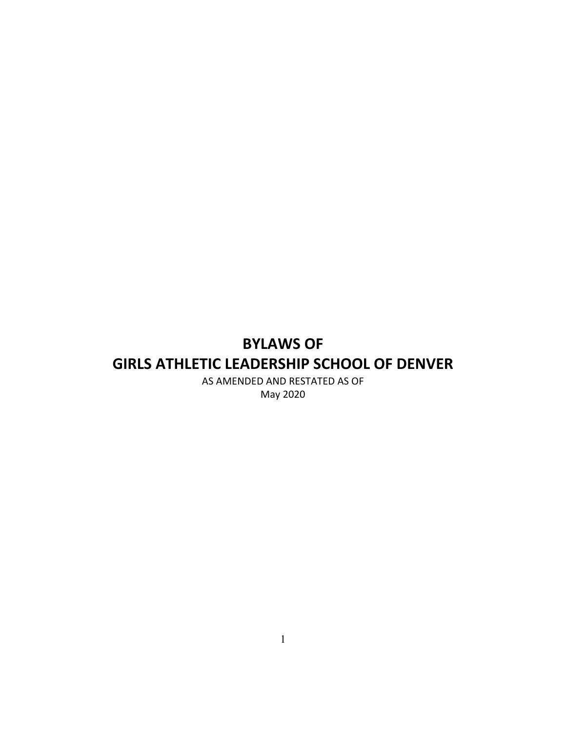# **BYLAWS OF GIRLS ATHLETIC LEADERSHIP SCHOOL OF DENVER**

AS AMENDED AND RESTATED AS OF May 2020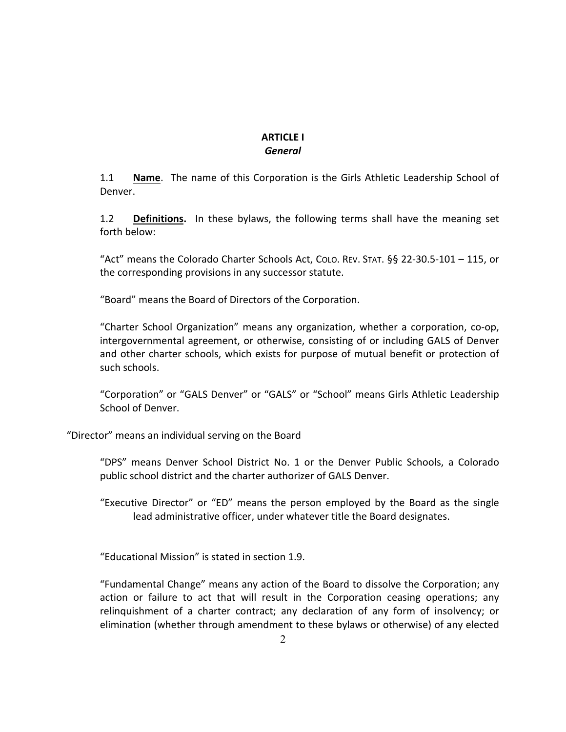# **ARTICLE I** *General*

1.1 **Name**. The name of this Corporation is the Girls Athletic Leadership School of Denver.

1.2 **Definitions.** In these bylaws, the following terms shall have the meaning set forth below:

"Act" means the Colorado Charter Schools Act, CoLo. REV. STAT. §§ 22-30.5-101 - 115, or the corresponding provisions in any successor statute.

"Board" means the Board of Directors of the Corporation.

"Charter School Organization" means any organization, whether a corporation, co-op, intergovernmental agreement, or otherwise, consisting of or including GALS of Denver and other charter schools, which exists for purpose of mutual benefit or protection of such schools.

"Corporation" or "GALS Denver" or "GALS" or "School" means Girls Athletic Leadership School of Denver.

"Director" means an individual serving on the Board

"DPS" means Denver School District No. 1 or the Denver Public Schools, a Colorado public school district and the charter authorizer of GALS Denver.

"Executive Director" or "ED" means the person employed by the Board as the single lead administrative officer, under whatever title the Board designates.

"Educational Mission" is stated in section 1.9.

"Fundamental Change" means any action of the Board to dissolve the Corporation; any action or failure to act that will result in the Corporation ceasing operations; any relinquishment of a charter contract; any declaration of any form of insolvency; or elimination (whether through amendment to these bylaws or otherwise) of any elected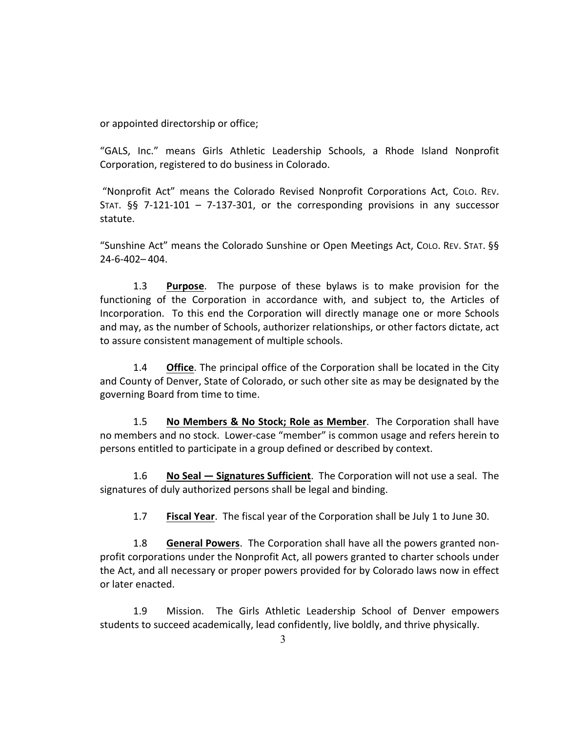or appointed directorship or office;

"GALS, Inc." means Girls Athletic Leadership Schools, a Rhode Island Nonprofit Corporation, registered to do business in Colorado.

"Nonprofit Act" means the Colorado Revised Nonprofit Corporations Act, COLO. REV. STAT.  $\S$ § 7-121-101 – 7-137-301, or the corresponding provisions in any successor statute.

"Sunshine Act" means the Colorado Sunshine or Open Meetings Act, CoLo. REV. STAT. §§ 24-6-402– 404.

1.3 **Purpose**. The purpose of these bylaws is to make provision for the functioning of the Corporation in accordance with, and subject to, the Articles of Incorporation. To this end the Corporation will directly manage one or more Schools and may, as the number of Schools, authorizer relationships, or other factors dictate, act to assure consistent management of multiple schools.

1.4 **Office**. The principal office of the Corporation shall be located in the City and County of Denver, State of Colorado, or such other site as may be designated by the governing Board from time to time.

1.5 **No Members & No Stock; Role as Member**. The Corporation shall have no members and no stock. Lower-case "member" is common usage and refers herein to persons entitled to participate in a group defined or described by context.

1.6 **No Seal — Signatures Sufficient**. The Corporation will not use a seal. The signatures of duly authorized persons shall be legal and binding.

1.7 **Fiscal Year**. The fiscal year of the Corporation shall be July 1 to June 30.

1.8 **General Powers**. The Corporation shall have all the powers granted nonprofit corporations under the Nonprofit Act, all powers granted to charter schools under the Act, and all necessary or proper powers provided for by Colorado laws now in effect or later enacted.

1.9 Mission. The Girls Athletic Leadership School of Denver empowers students to succeed academically, lead confidently, live boldly, and thrive physically.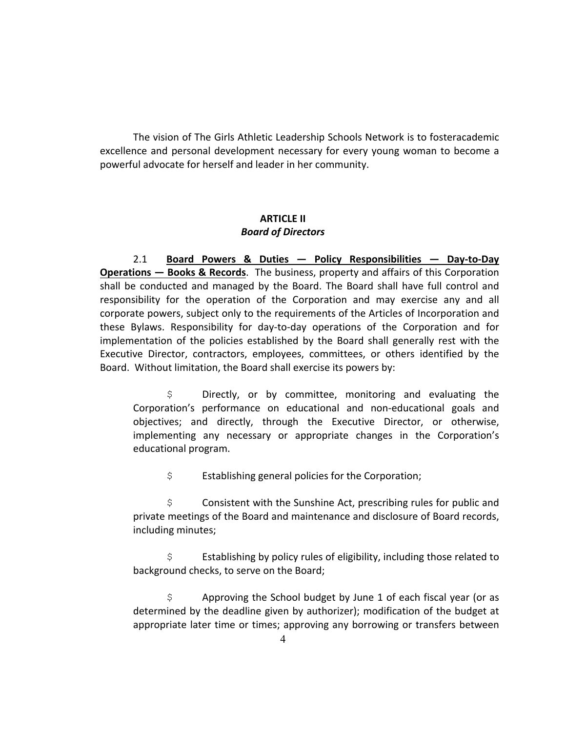The vision of The Girls Athletic Leadership Schools Network is to fosteracademic excellence and personal development necessary for every young woman to become a powerful advocate for herself and leader in her community.

#### **ARTICLE II** *Board of Directors*

2.1 **Board Powers & Duties — Policy Responsibilities — Day-to-Day Operations — Books & Records.** The business, property and affairs of this Corporation shall be conducted and managed by the Board. The Board shall have full control and responsibility for the operation of the Corporation and may exercise any and all corporate powers, subject only to the requirements of the Articles of Incorporation and these Bylaws. Responsibility for day-to-day operations of the Corporation and for implementation of the policies established by the Board shall generally rest with the Executive Director, contractors, employees, committees, or others identified by the Board. Without limitation, the Board shall exercise its powers by:

 $$$  Directly, or by committee, monitoring and evaluating the Corporation's performance on educational and non-educational goals and objectives; and directly, through the Executive Director, or otherwise, implementing any necessary or appropriate changes in the Corporation's educational program.

 $\sin \theta$  Establishing general policies for the Corporation;

 $$$  Consistent with the Sunshine Act, prescribing rules for public and private meetings of the Board and maintenance and disclosure of Board records, including minutes;

 $\div$  Establishing by policy rules of eligibility, including those related to background checks, to serve on the Board;

 $\sin \theta$  \$ Approving the School budget by June 1 of each fiscal year (or as determined by the deadline given by authorizer); modification of the budget at appropriate later time or times; approving any borrowing or transfers between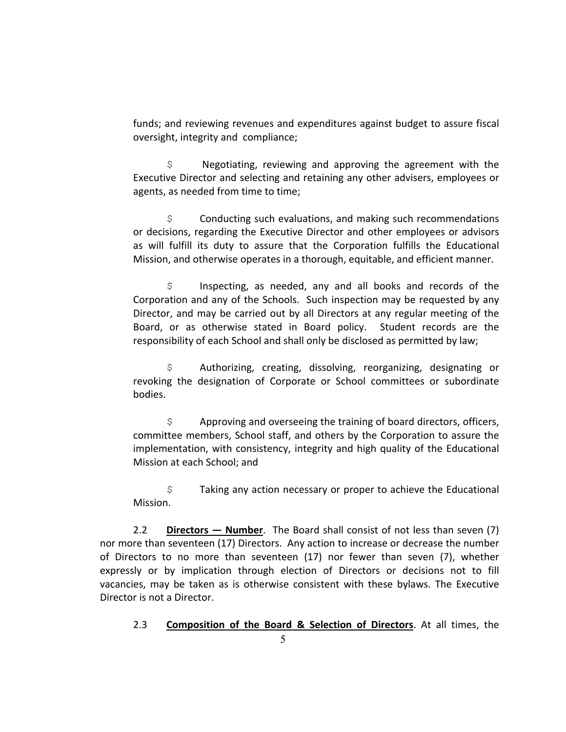funds; and reviewing revenues and expenditures against budget to assure fiscal oversight, integrity and compliance;

 $$$  Negotiating, reviewing and approving the agreement with the Executive Director and selecting and retaining any other advisers, employees or agents, as needed from time to time;

 $\varsigma$  Conducting such evaluations, and making such recommendations or decisions, regarding the Executive Director and other employees or advisors as will fulfill its duty to assure that the Corporation fulfills the Educational Mission, and otherwise operates in a thorough, equitable, and efficient manner.

 $$$  Inspecting, as needed, any and all books and records of the Corporation and any of the Schools. Such inspection may be requested by any Director, and may be carried out by all Directors at any regular meeting of the Board, or as otherwise stated in Board policy. Student records are the responsibility of each School and shall only be disclosed as permitted by law;

 $$$  Authorizing, creating, dissolving, reorganizing, designating or revoking the designation of Corporate or School committees or subordinate bodies.

 $\sin \theta$  Approving and overseeing the training of board directors, officers, committee members, School staff, and others by the Corporation to assure the implementation, with consistency, integrity and high quality of the Educational Mission at each School; and

 $$$  Taking any action necessary or proper to achieve the Educational Mission.

2.2 **Directors — Number**. The Board shall consist of not less than seven (7) nor more than seventeen (17) Directors. Any action to increase or decrease the number of Directors to no more than seventeen  $(17)$  nor fewer than seven  $(7)$ , whether expressly or by implication through election of Directors or decisions not to fill vacancies, may be taken as is otherwise consistent with these bylaws. The Executive Director is not a Director.

2.3 **Composition of the Board & Selection of Directors**. At all times, the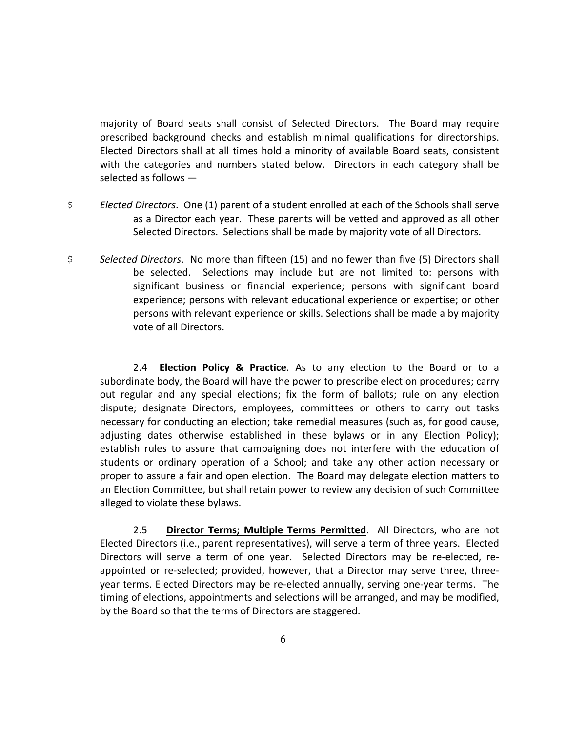majority of Board seats shall consist of Selected Directors. The Board may require prescribed background checks and establish minimal qualifications for directorships. Elected Directors shall at all times hold a minority of available Board seats, consistent with the categories and numbers stated below. Directors in each category shall be selected as follows  $-$ 

- $\div$  *Elected Directors.* One (1) parent of a student enrolled at each of the Schools shall serve as a Director each year. These parents will be vetted and approved as all other Selected Directors. Selections shall be made by majority vote of all Directors.
- \$ **Selected Directors.** No more than fifteen (15) and no fewer than five (5) Directors shall be selected. Selections may include but are not limited to: persons with significant business or financial experience; persons with significant board experience; persons with relevant educational experience or expertise; or other persons with relevant experience or skills. Selections shall be made a by majority vote of all Directors.

2.4 **Election Policy & Practice**. As to any election to the Board or to a subordinate body, the Board will have the power to prescribe election procedures; carry out regular and any special elections; fix the form of ballots; rule on any election dispute; designate Directors, employees, committees or others to carry out tasks necessary for conducting an election; take remedial measures (such as, for good cause, adjusting dates otherwise established in these bylaws or in any Election Policy); establish rules to assure that campaigning does not interfere with the education of students or ordinary operation of a School; and take any other action necessary or proper to assure a fair and open election. The Board may delegate election matters to an Election Committee, but shall retain power to review any decision of such Committee alleged to violate these bylaws.

2.5 **Director Terms; Multiple Terms Permitted**. All Directors, who are not Elected Directors (i.e., parent representatives), will serve a term of three years. Elected Directors will serve a term of one year. Selected Directors may be re-elected, reappointed or re-selected; provided, however, that a Director may serve three, threeyear terms. Elected Directors may be re-elected annually, serving one-year terms. The timing of elections, appointments and selections will be arranged, and may be modified, by the Board so that the terms of Directors are staggered.

6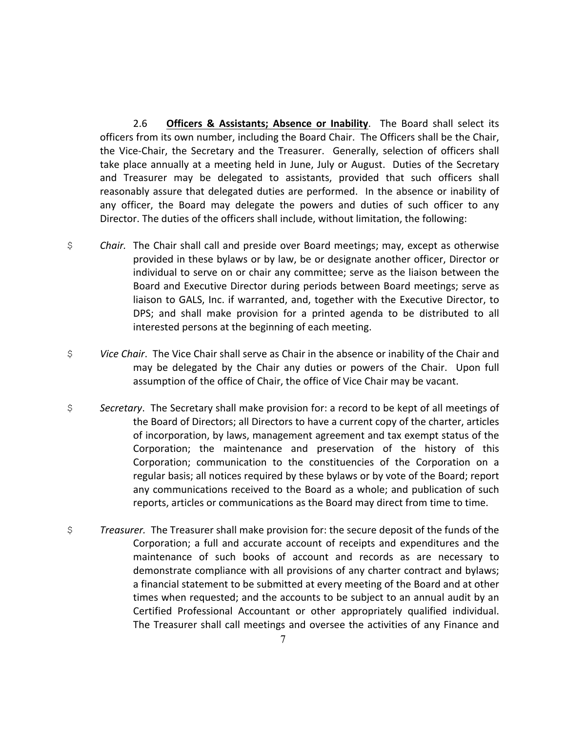2.6 **Officers & Assistants; Absence or Inability**. The Board shall select its officers from its own number, including the Board Chair. The Officers shall be the Chair, the Vice-Chair, the Secretary and the Treasurer. Generally, selection of officers shall take place annually at a meeting held in June, July or August. Duties of the Secretary and Treasurer may be delegated to assistants, provided that such officers shall reasonably assure that delegated duties are performed. In the absence or inability of any officer, the Board may delegate the powers and duties of such officer to any Director. The duties of the officers shall include, without limitation, the following:

- $\sin$  *Chair.* The Chair shall call and preside over Board meetings; may, except as otherwise provided in these bylaws or by law, be or designate another officer, Director or individual to serve on or chair any committee; serve as the liaison between the Board and Executive Director during periods between Board meetings; serve as liaison to GALS, Inc. if warranted, and, together with the Executive Director, to DPS; and shall make provision for a printed agenda to be distributed to all interested persons at the beginning of each meeting.
- $\beta$  *Vice Chair*. The Vice Chair shall serve as Chair in the absence or inability of the Chair and may be delegated by the Chair any duties or powers of the Chair. Upon full assumption of the office of Chair, the office of Vice Chair may be vacant.
- \$ **Secretary.** The Secretary shall make provision for: a record to be kept of all meetings of the Board of Directors; all Directors to have a current copy of the charter, articles of incorporation, by laws, management agreement and tax exempt status of the Corporation; the maintenance and preservation of the history of this Corporation; communication to the constituencies of the Corporation on a regular basis; all notices required by these bylaws or by vote of the Board; report any communications received to the Board as a whole; and publication of such reports, articles or communications as the Board may direct from time to time.
- $\beta$  *Treasurer.* The Treasurer shall make provision for: the secure deposit of the funds of the Corporation; a full and accurate account of receipts and expenditures and the maintenance of such books of account and records as are necessary to demonstrate compliance with all provisions of any charter contract and bylaws; a financial statement to be submitted at every meeting of the Board and at other times when requested; and the accounts to be subject to an annual audit by an Certified Professional Accountant or other appropriately qualified individual. The Treasurer shall call meetings and oversee the activities of any Finance and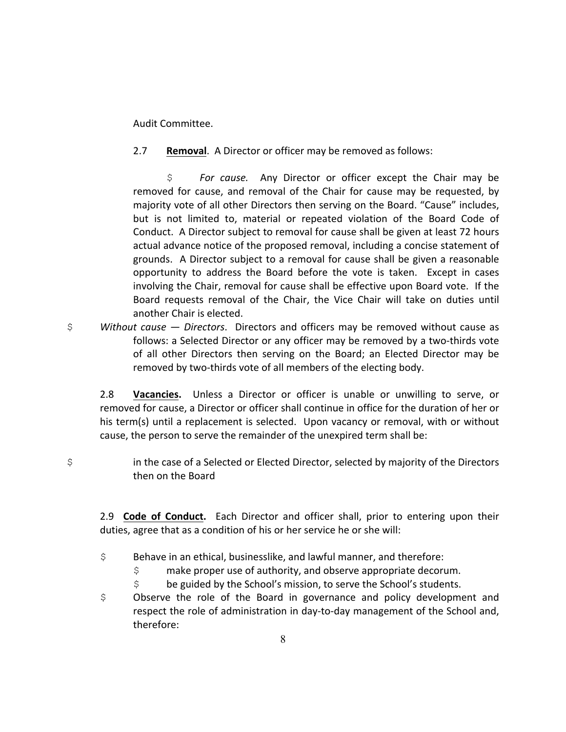Audit Committee.

2.7 **Removal.** A Director or officer may be removed as follows:

 $$$  *For cause.* Any Director or officer except the Chair may be removed for cause, and removal of the Chair for cause may be requested, by majority vote of all other Directors then serving on the Board. "Cause" includes, but is not limited to, material or repeated violation of the Board Code of Conduct. A Director subject to removal for cause shall be given at least 72 hours actual advance notice of the proposed removal, including a concise statement of grounds. A Director subject to a removal for cause shall be given a reasonable opportunity to address the Board before the vote is taken. Except in cases involving the Chair, removal for cause shall be effective upon Board vote. If the Board requests removal of the Chair, the Vice Chair will take on duties until another Chair is elected.

 $\div$  *Without cause – Directors.* Directors and officers may be removed without cause as follows: a Selected Director or any officer may be removed by a two-thirds vote of all other Directors then serving on the Board; an Elected Director may be removed by two-thirds vote of all members of the electing body.

2.8 **Vacancies.** Unless a Director or officer is unable or unwilling to serve, or removed for cause, a Director or officer shall continue in office for the duration of her or his term(s) until a replacement is selected. Upon vacancy or removal, with or without cause, the person to serve the remainder of the unexpired term shall be:

\$ in the case of a Selected or Elected Director, selected by majority of the Directors then on the Board

2.9 **Code of Conduct.** Each Director and officer shall, prior to entering upon their duties, agree that as a condition of his or her service he or she will:

- $\div$  Behave in an ethical, businesslike, and lawful manner, and therefore:
	- $\varsigma$  make proper use of authority, and observe appropriate decorum.
	- $\sin \theta$  be guided by the School's mission, to serve the School's students.
- $$$  Observe the role of the Board in governance and policy development and respect the role of administration in day-to-day management of the School and, therefore: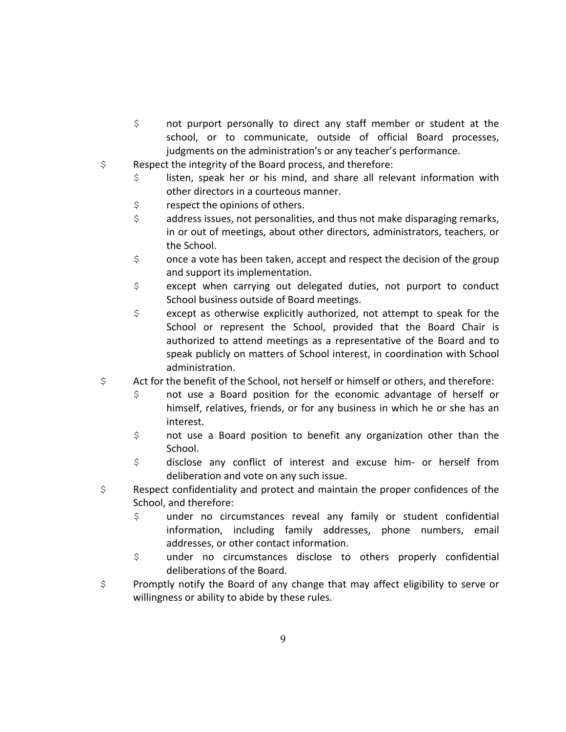- \$ not purport personally to direct any staff member or student at the school, or to communicate, outside of official Board processes, judgments on the administration's or any teacher's performance.
- $\sin \theta$  Respect the integrity of the Board process, and therefore:
	- $$$  listen, speak her or his mind, and share all relevant information with other directors in a courteous manner.
	- $$$  respect the opinions of others.
	- $\varsigma$  address issues, not personalities, and thus not make disparaging remarks, in or out of meetings, about other directors, administrators, teachers, or the School.
	- $\sin$  once a vote has been taken, accept and respect the decision of the group and support its implementation.
	- $$$  except when carrying out delegated duties, not purport to conduct School business outside of Board meetings.
	- $$$  except as otherwise explicitly authorized, not attempt to speak for the School or represent the School, provided that the Board Chair is authorized to attend meetings as a representative of the Board and to speak publicly on matters of School interest, in coordination with School administration.
- $\sin \theta$  Act for the benefit of the School, not herself or himself or others, and therefore:
	- $\frac{1}{2}$  not use a Board position for the economic advantage of herself or himself, relatives, friends, or for any business in which he or she has an interest.
	- $$$  not use a Board position to benefit any organization other than the School.
	- $$$  disclose any conflict of interest and excuse him- or herself from deliberation and vote on any such issue.
- $$$  Respect confidentiality and protect and maintain the proper confidences of the School, and therefore:
	- \$ under no circumstances reveal any family or student confidential information, including family addresses, phone numbers, email addresses, or other contact information.
	- \$ under no circumstances disclose to others properly confidential deliberations of the Board.
- $$$  Promptly notify the Board of any change that may affect eligibility to serve or willingness or ability to abide by these rules.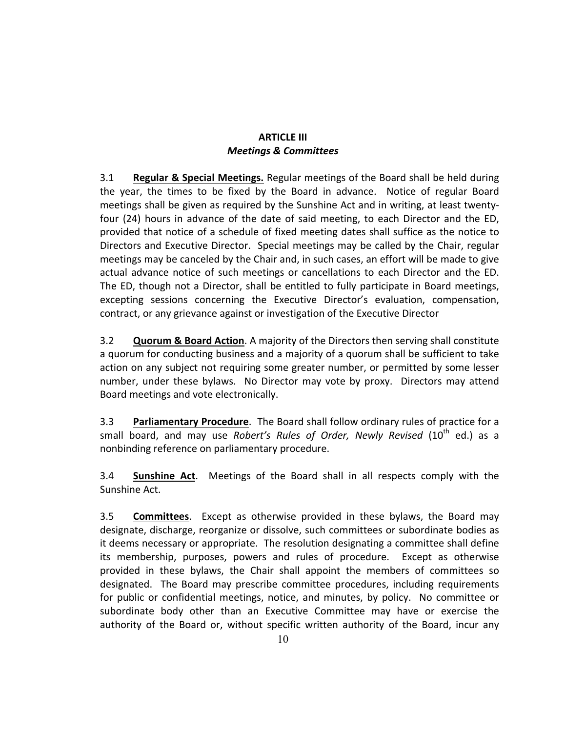#### **ARTICLE III** *Meetings & Committees*

**3.1 Regular & Special Meetings.** Regular meetings of the Board shall be held during the year, the times to be fixed by the Board in advance. Notice of regular Board meetings shall be given as required by the Sunshine Act and in writing, at least twentyfour (24) hours in advance of the date of said meeting, to each Director and the ED, provided that notice of a schedule of fixed meeting dates shall suffice as the notice to Directors and Executive Director. Special meetings may be called by the Chair, regular meetings may be canceled by the Chair and, in such cases, an effort will be made to give actual advance notice of such meetings or cancellations to each Director and the ED. The ED, though not a Director, shall be entitled to fully participate in Board meetings, excepting sessions concerning the Executive Director's evaluation, compensation, contract, or any grievance against or investigation of the Executive Director

3.2 **Quorum & Board Action**. A majority of the Directors then serving shall constitute a quorum for conducting business and a majority of a quorum shall be sufficient to take action on any subject not requiring some greater number, or permitted by some lesser number, under these bylaws. No Director may vote by proxy. Directors may attend Board meetings and vote electronically.

3.3 **Parliamentary Procedure**. The Board shall follow ordinary rules of practice for a small board, and may use *Robert's Rules of Order, Newly Revised* (10<sup>th</sup> ed.) as a nonbinding reference on parliamentary procedure.

**3.4 Sunshine Act.** Meetings of the Board shall in all respects comply with the Sunshine Act.

**3.5 Committees.** Except as otherwise provided in these bylaws, the Board may designate, discharge, reorganize or dissolve, such committees or subordinate bodies as it deems necessary or appropriate. The resolution designating a committee shall define its membership, purposes, powers and rules of procedure. Except as otherwise provided in these bylaws, the Chair shall appoint the members of committees so designated. The Board may prescribe committee procedures, including requirements for public or confidential meetings, notice, and minutes, by policy. No committee or subordinate body other than an Executive Committee may have or exercise the authority of the Board or, without specific written authority of the Board, incur any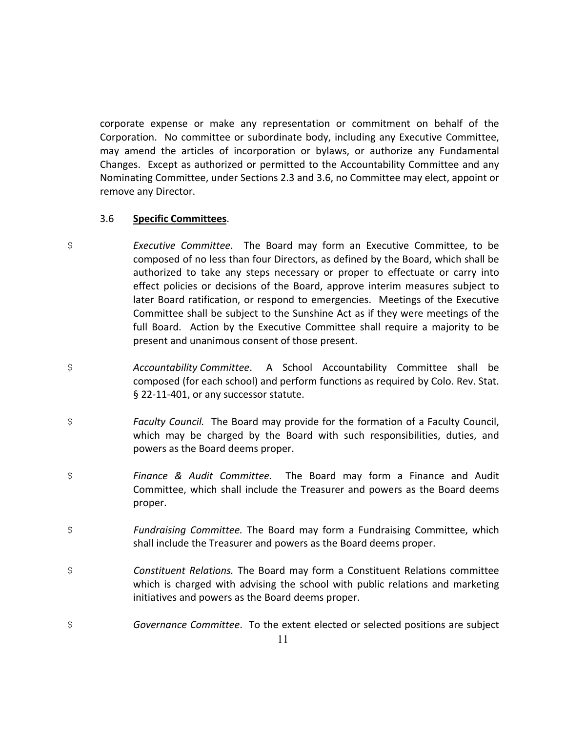corporate expense or make any representation or commitment on behalf of the Corporation. No committee or subordinate body, including any Executive Committee, may amend the articles of incorporation or bylaws, or authorize any Fundamental Changes. Except as authorized or permitted to the Accountability Committee and any Nominating Committee, under Sections 2.3 and 3.6, no Committee may elect, appoint or remove any Director.

#### 3.6 **Specific Committees**.

- \$ **Executive Committee.** The Board may form an Executive Committee, to be composed of no less than four Directors, as defined by the Board, which shall be authorized to take any steps necessary or proper to effectuate or carry into effect policies or decisions of the Board, approve interim measures subject to later Board ratification, or respond to emergencies. Meetings of the Executive Committee shall be subject to the Sunshine Act as if they were meetings of the full Board. Action by the Executive Committee shall require a majority to be present and unanimous consent of those present.
- \$ *Accountability Committee*. A School Accountability Committee shall be composed (for each school) and perform functions as required by Colo. Rev. Stat. § 22-11-401, or any successor statute.
- \$ **Faculty Council.** The Board may provide for the formation of a Faculty Council, which may be charged by the Board with such responsibilities, duties, and powers as the Board deems proper.
- \$ **Finance & Audit Committee.** The Board may form a Finance and Audit Committee, which shall include the Treasurer and powers as the Board deems proper.
- $$$  Fundraising Committee. The Board may form a Fundraising Committee, which shall include the Treasurer and powers as the Board deems proper.
- \$ 600 Constituent Relations. The Board may form a Constituent Relations committee which is charged with advising the school with public relations and marketing initiatives and powers as the Board deems proper.
- \$ **Governance Committee.** To the extent elected or selected positions are subject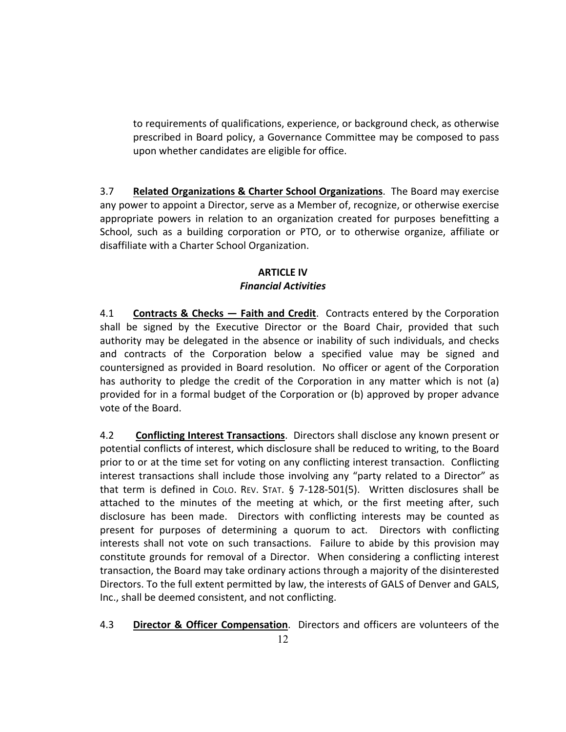to requirements of qualifications, experience, or background check, as otherwise prescribed in Board policy, a Governance Committee may be composed to pass upon whether candidates are eligible for office.

**3.7 Related Organizations & Charter School Organizations**. The Board may exercise any power to appoint a Director, serve as a Member of, recognize, or otherwise exercise appropriate powers in relation to an organization created for purposes benefitting a School, such as a building corporation or PTO, or to otherwise organize, affiliate or disaffiliate with a Charter School Organization.

## **ARTICLE IV** *Financial Activities*

4.1 **Contracts & Checks — Faith and Credit**. Contracts entered by the Corporation shall be signed by the Executive Director or the Board Chair, provided that such authority may be delegated in the absence or inability of such individuals, and checks and contracts of the Corporation below a specified value may be signed and countersigned as provided in Board resolution. No officer or agent of the Corporation has authority to pledge the credit of the Corporation in any matter which is not (a) provided for in a formal budget of the Corporation or (b) approved by proper advance vote of the Board.

4.2 **Conflicting Interest Transactions**. Directors shall disclose any known present or potential conflicts of interest, which disclosure shall be reduced to writing, to the Board prior to or at the time set for voting on any conflicting interest transaction. Conflicting interest transactions shall include those involving any "party related to a Director" as that term is defined in COLO. REV. STAT.  $\S$  7-128-501(5). Written disclosures shall be attached to the minutes of the meeting at which, or the first meeting after, such disclosure has been made. Directors with conflicting interests may be counted as present for purposes of determining a quorum to act. Directors with conflicting interests shall not vote on such transactions. Failure to abide by this provision may constitute grounds for removal of a Director. When considering a conflicting interest transaction, the Board may take ordinary actions through a majority of the disinterested Directors. To the full extent permitted by law, the interests of GALS of Denver and GALS, Inc., shall be deemed consistent, and not conflicting.

4.3 **Director & Officer Compensation**. Directors and officers are volunteers of the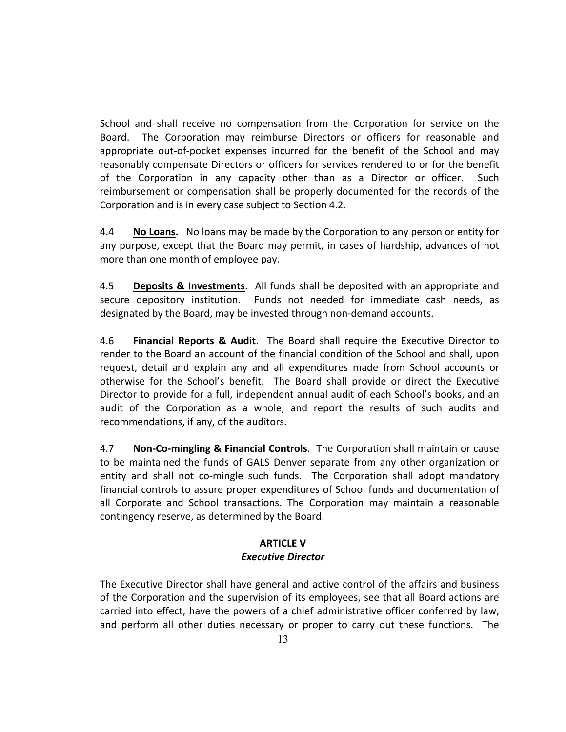School and shall receive no compensation from the Corporation for service on the Board. The Corporation may reimburse Directors or officers for reasonable and appropriate out-of-pocket expenses incurred for the benefit of the School and may reasonably compensate Directors or officers for services rendered to or for the benefit of the Corporation in any capacity other than as a Director or officer. Such reimbursement or compensation shall be properly documented for the records of the Corporation and is in every case subject to Section 4.2.

4.4 **No Loans.** No loans may be made by the Corporation to any person or entity for any purpose, except that the Board may permit, in cases of hardship, advances of not more than one month of employee pay.

4.5 **Deposits & Investments**. All funds shall be deposited with an appropriate and secure depository institution. Funds not needed for immediate cash needs, as designated by the Board, may be invested through non-demand accounts.

4.6 **Financial Reports & Audit**. The Board shall require the Executive Director to render to the Board an account of the financial condition of the School and shall, upon request, detail and explain any and all expenditures made from School accounts or otherwise for the School's benefit. The Board shall provide or direct the Executive Director to provide for a full, independent annual audit of each School's books, and an audit of the Corporation as a whole, and report the results of such audits and recommendations, if any, of the auditors.

4.7 **Non-Co-mingling & Financial Controls**. The Corporation shall maintain or cause to be maintained the funds of GALS Denver separate from any other organization or entity and shall not co-mingle such funds. The Corporation shall adopt mandatory financial controls to assure proper expenditures of School funds and documentation of all Corporate and School transactions. The Corporation may maintain a reasonable contingency reserve, as determined by the Board.

#### **ARTICLE V**

#### *Executive Director*

The Executive Director shall have general and active control of the affairs and business of the Corporation and the supervision of its employees, see that all Board actions are carried into effect, have the powers of a chief administrative officer conferred by law, and perform all other duties necessary or proper to carry out these functions. The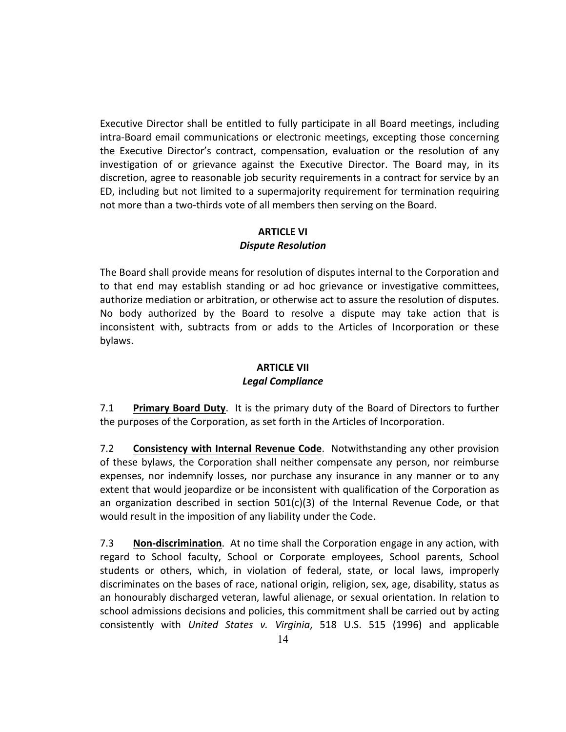Executive Director shall be entitled to fully participate in all Board meetings, including intra-Board email communications or electronic meetings, excepting those concerning the Executive Director's contract, compensation, evaluation or the resolution of any investigation of or grievance against the Executive Director. The Board may, in its discretion, agree to reasonable job security requirements in a contract for service by an ED, including but not limited to a supermajority requirement for termination requiring not more than a two-thirds vote of all members then serving on the Board.

#### **ARTICLE VI** *Dispute Resolution*

The Board shall provide means for resolution of disputes internal to the Corporation and to that end may establish standing or ad hoc grievance or investigative committees, authorize mediation or arbitration, or otherwise act to assure the resolution of disputes. No body authorized by the Board to resolve a dispute may take action that is inconsistent with, subtracts from or adds to the Articles of Incorporation or these bylaws.

### **ARTICLE VII** *Legal Compliance*

**7.1 Primary Board Duty**. It is the primary duty of the Board of Directors to further the purposes of the Corporation, as set forth in the Articles of Incorporation.

7.2 **Consistency with Internal Revenue Code**. Notwithstanding any other provision of these bylaws, the Corporation shall neither compensate any person, nor reimburse expenses, nor indemnify losses, nor purchase any insurance in any manner or to any extent that would jeopardize or be inconsistent with qualification of the Corporation as an organization described in section  $501(c)(3)$  of the Internal Revenue Code, or that would result in the imposition of any liability under the Code.

7.3 **Non-discrimination**. At no time shall the Corporation engage in any action, with regard to School faculty, School or Corporate employees, School parents, School students or others, which, in violation of federal, state, or local laws, improperly discriminates on the bases of race, national origin, religion, sex, age, disability, status as an honourably discharged veteran, lawful alienage, or sexual orientation. In relation to school admissions decisions and policies, this commitment shall be carried out by acting consistently with *United States v. Virginia*, 518 U.S. 515 (1996) and applicable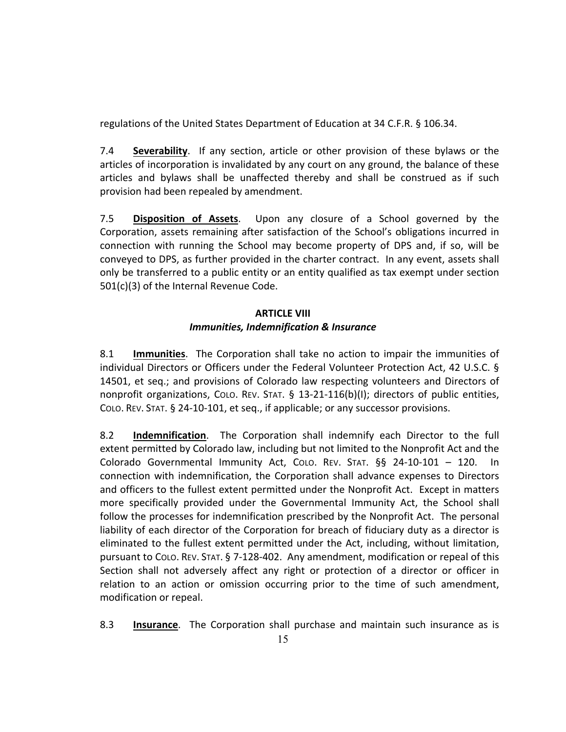regulations of the United States Department of Education at 34 C.F.R. § 106.34.

**7.4 Severability**. If any section, article or other provision of these bylaws or the articles of incorporation is invalidated by any court on any ground, the balance of these articles and bylaws shall be unaffected thereby and shall be construed as if such provision had been repealed by amendment.

7.5 **Disposition of Assets**. Upon any closure of a School governed by the Corporation, assets remaining after satisfaction of the School's obligations incurred in connection with running the School may become property of DPS and, if so, will be conveyed to DPS, as further provided in the charter contract. In any event, assets shall only be transferred to a public entity or an entity qualified as tax exempt under section  $501(c)(3)$  of the Internal Revenue Code.

# **ARTICLE VIII** *Immunities, Indemnification & Insurance*

8.1 **Immunities**. The Corporation shall take no action to impair the immunities of individual Directors or Officers under the Federal Volunteer Protection Act, 42 U.S.C. § 14501, et seq.; and provisions of Colorado law respecting volunteers and Directors of nonprofit organizations, Colo. REV. STAT. § 13-21-116(b)(I); directors of public entities, COLO. REV. STAT.  $\S$  24-10-101, et seq., if applicable; or any successor provisions.

8.2 **Indemnification**. The Corporation shall indemnify each Director to the full extent permitted by Colorado law, including but not limited to the Nonprofit Act and the Colorado Governmental Immunity Act, CoLo. REV. STAT. §§ 24-10-101 - 120. In connection with indemnification, the Corporation shall advance expenses to Directors and officers to the fullest extent permitted under the Nonprofit Act. Except in matters more specifically provided under the Governmental Immunity Act, the School shall follow the processes for indemnification prescribed by the Nonprofit Act. The personal liability of each director of the Corporation for breach of fiduciary duty as a director is eliminated to the fullest extent permitted under the Act, including, without limitation, pursuant to COLO. REV. STAT.  $\S$  7-128-402. Any amendment, modification or repeal of this Section shall not adversely affect any right or protection of a director or officer in relation to an action or omission occurring prior to the time of such amendment, modification or repeal.

8.3 **Insurance**. The Corporation shall purchase and maintain such insurance as is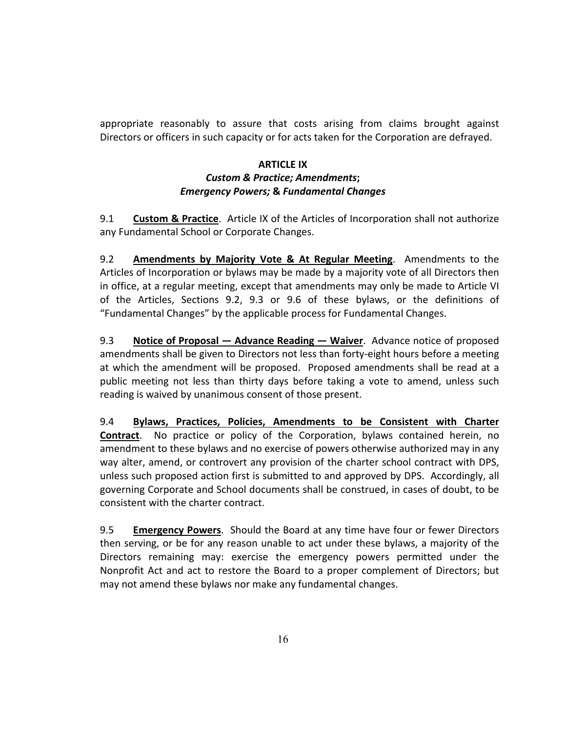appropriate reasonably to assure that costs arising from claims brought against Directors or officers in such capacity or for acts taken for the Corporation are defrayed.

#### **ARTICLE IX** *Custom & Practice; Amendments; Emergency Powers;* **&** *Fundamental Changes*

9.1 **Custom & Practice**. Article IX of the Articles of Incorporation shall not authorize any Fundamental School or Corporate Changes.

9.2 **Amendments by Majority Vote & At Regular Meeting**. Amendments to the Articles of Incorporation or bylaws may be made by a majority vote of all Directors then in office, at a regular meeting, except that amendments may only be made to Article VI of the Articles, Sections 9.2, 9.3 or 9.6 of these bylaws, or the definitions of "Fundamental Changes" by the applicable process for Fundamental Changes.

9.3 **Notice of Proposal — Advance Reading — Waiver**. Advance notice of proposed amendments shall be given to Directors not less than forty-eight hours before a meeting at which the amendment will be proposed. Proposed amendments shall be read at a public meeting not less than thirty days before taking a vote to amend, unless such reading is waived by unanimous consent of those present.

9.4 **Bylaws, Practices, Policies, Amendments to be Consistent with Charter Contract.** No practice or policy of the Corporation, bylaws contained herein, no amendment to these bylaws and no exercise of powers otherwise authorized may in any way alter, amend, or controvert any provision of the charter school contract with DPS, unless such proposed action first is submitted to and approved by DPS. Accordingly, all governing Corporate and School documents shall be construed, in cases of doubt, to be consistent with the charter contract.

9.5 **Emergency Powers**. Should the Board at any time have four or fewer Directors then serving, or be for any reason unable to act under these bylaws, a majority of the Directors remaining may: exercise the emergency powers permitted under the Nonprofit Act and act to restore the Board to a proper complement of Directors; but may not amend these bylaws nor make any fundamental changes.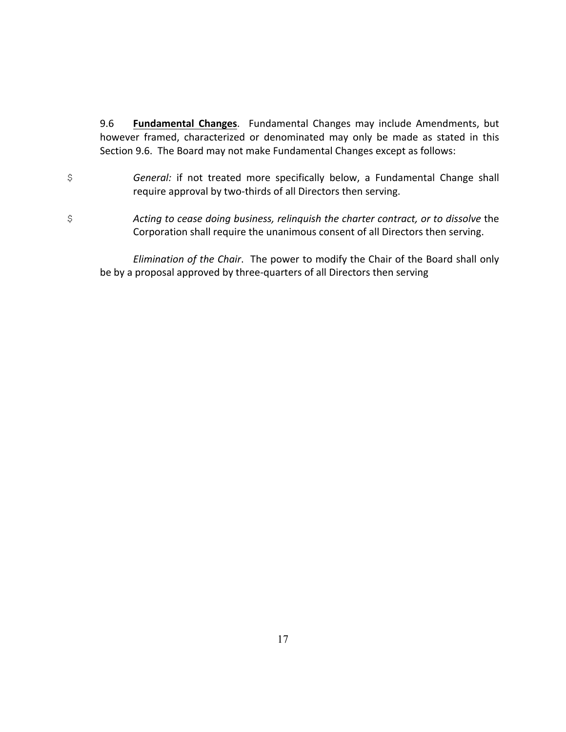9.6 **Fundamental Changes**. Fundamental Changes may include Amendments, but however framed, characterized or denominated may only be made as stated in this Section 9.6. The Board may not make Fundamental Changes except as follows:

- \$ **General:** if not treated more specifically below, a Fundamental Change shall require approval by two-thirds of all Directors then serving.
- \$ **Acting to cease doing business, relinguish the charter contract, or to dissolve the** Corporation shall require the unanimous consent of all Directors then serving.

*Elimination of the Chair.* The power to modify the Chair of the Board shall only be by a proposal approved by three-quarters of all Directors then serving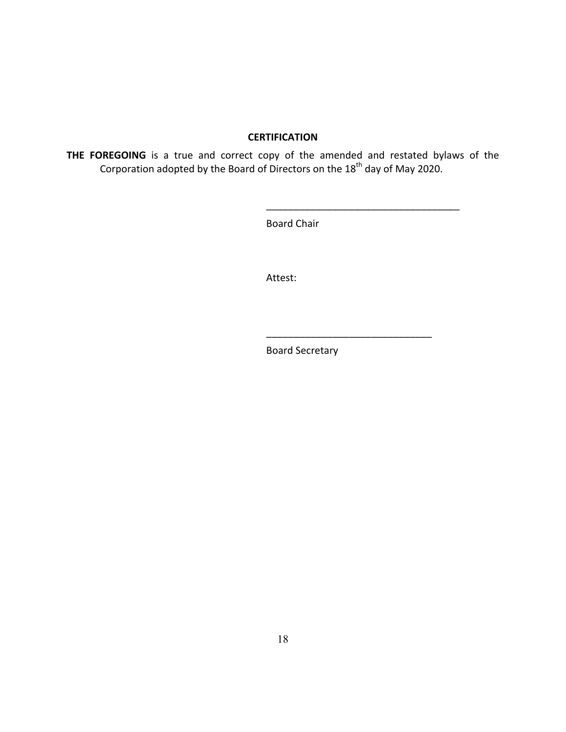#### **CERTIFICATION**

THE FOREGOING is a true and correct copy of the amended and restated bylaws of the Corporation adopted by the Board of Directors on the  $18<sup>th</sup>$  day of May 2020.

Board Chair

\_\_\_\_\_\_\_\_\_\_\_\_\_\_\_\_\_\_\_\_\_\_\_\_\_\_\_\_\_\_\_\_\_\_\_

\_\_\_\_\_\_\_\_\_\_\_\_\_\_\_\_\_\_\_\_\_\_\_\_\_\_\_\_\_\_

Attest:

Board Secretary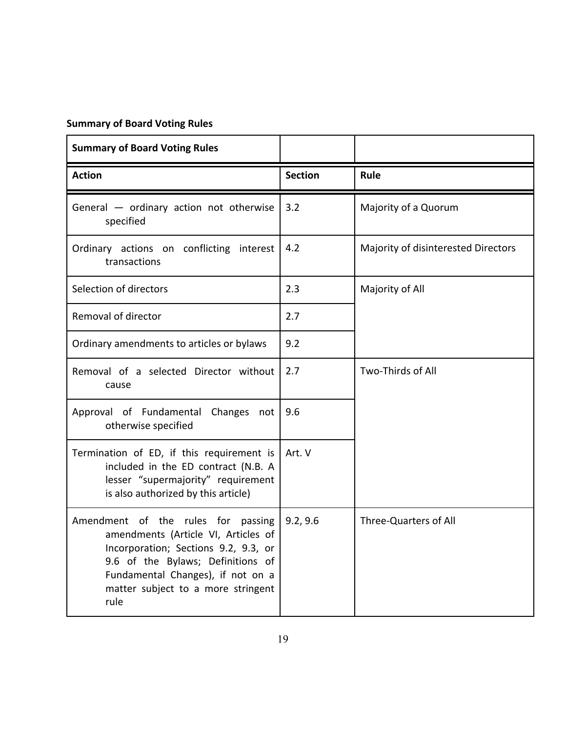# **Summary of Board Voting Rules**

| <b>Summary of Board Voting Rules</b>                                                                                                                                                                                                      |                |                                     |
|-------------------------------------------------------------------------------------------------------------------------------------------------------------------------------------------------------------------------------------------|----------------|-------------------------------------|
| <b>Action</b>                                                                                                                                                                                                                             | <b>Section</b> | Rule                                |
| General - ordinary action not otherwise<br>specified                                                                                                                                                                                      | 3.2            | Majority of a Quorum                |
| Ordinary actions on conflicting interest<br>transactions                                                                                                                                                                                  | 4.2            | Majority of disinterested Directors |
| Selection of directors                                                                                                                                                                                                                    | 2.3            | Majority of All                     |
| Removal of director                                                                                                                                                                                                                       | 2.7            |                                     |
| Ordinary amendments to articles or bylaws                                                                                                                                                                                                 | 9.2            |                                     |
| Removal of a selected Director without<br>cause                                                                                                                                                                                           | 2.7            | Two-Thirds of All                   |
| Approval of Fundamental Changes not<br>otherwise specified                                                                                                                                                                                | 9.6            |                                     |
| Termination of ED, if this requirement is<br>included in the ED contract (N.B. A<br>lesser "supermajority" requirement<br>is also authorized by this article)                                                                             | Art. V         |                                     |
| Amendment of the rules for passing<br>amendments (Article VI, Articles of<br>Incorporation; Sections 9.2, 9.3, or<br>9.6 of the Bylaws; Definitions of<br>Fundamental Changes), if not on a<br>matter subject to a more stringent<br>rule | 9.2, 9.6       | <b>Three-Quarters of All</b>        |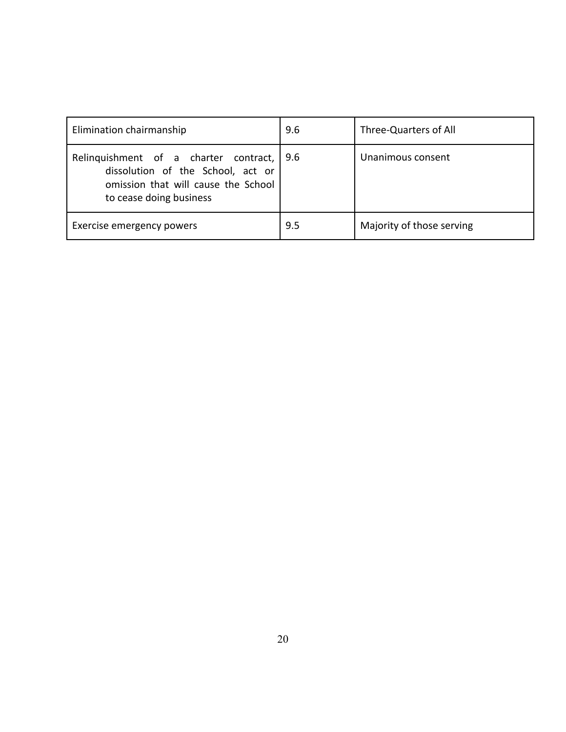| Elimination chairmanship                                                                                                                       | 9.6 | Three-Quarters of All     |
|------------------------------------------------------------------------------------------------------------------------------------------------|-----|---------------------------|
| Relinquishment of a charter contract,  <br>dissolution of the School, act or<br>omission that will cause the School<br>to cease doing business | 9.6 | Unanimous consent         |
| Exercise emergency powers                                                                                                                      | 9.5 | Majority of those serving |